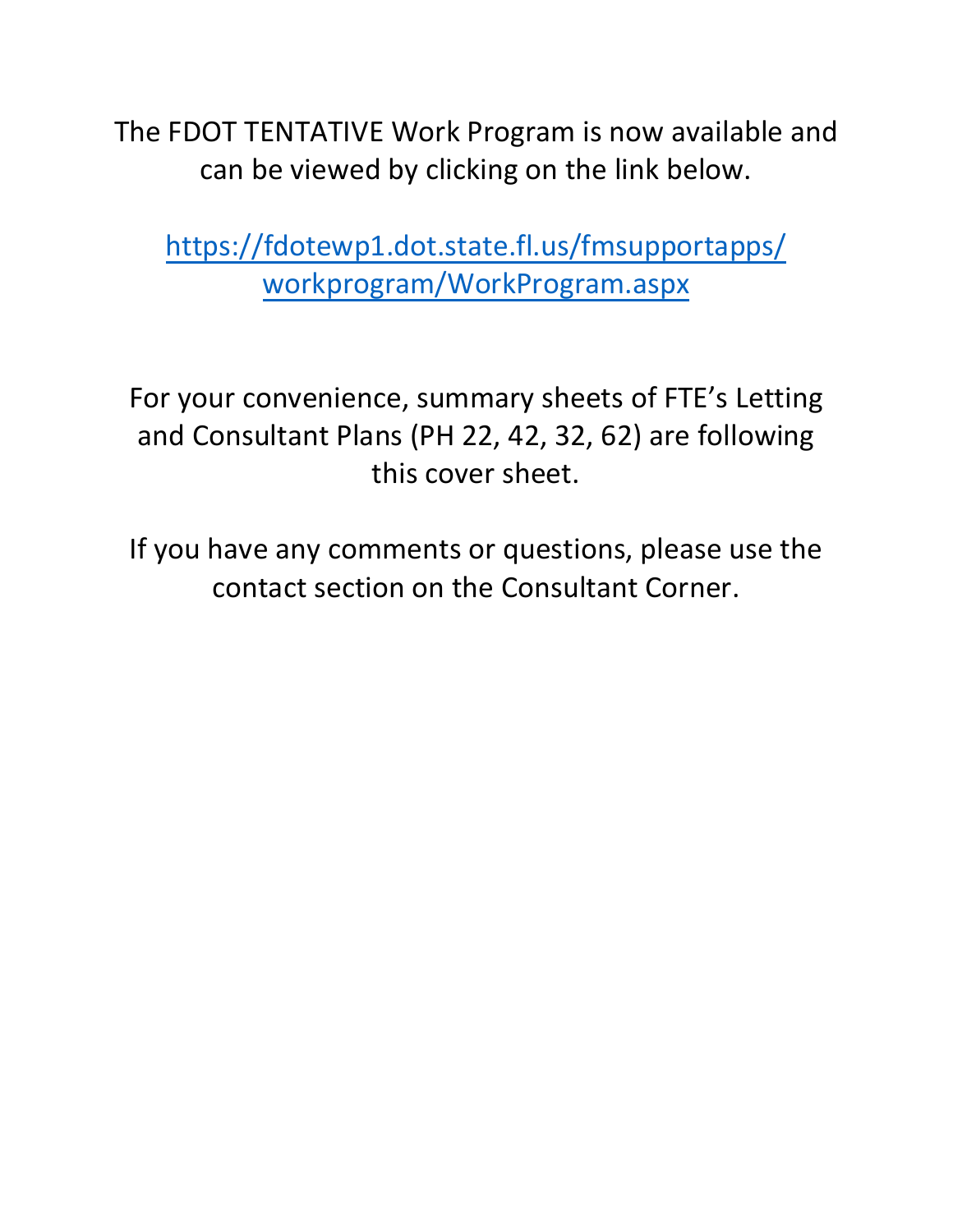The FDOT TENTATIVE Work Program is now available and can be viewed by clicking on the link below.

[https://fdotewp1.dot.state.fl.us/fmsupportapps/](https://fdotewp1.dot.state.fl.us/fmsupportapps/workprogram/WorkProgram.aspx) workprogram/WorkProgram.aspx

For your convenience, summary sheets of FTE's Letting and Consultant Plans (PH 22, 42, 32, 62) are following this cover sheet.

If you have any comments or questions, please use the contact section on the Consultant Corner.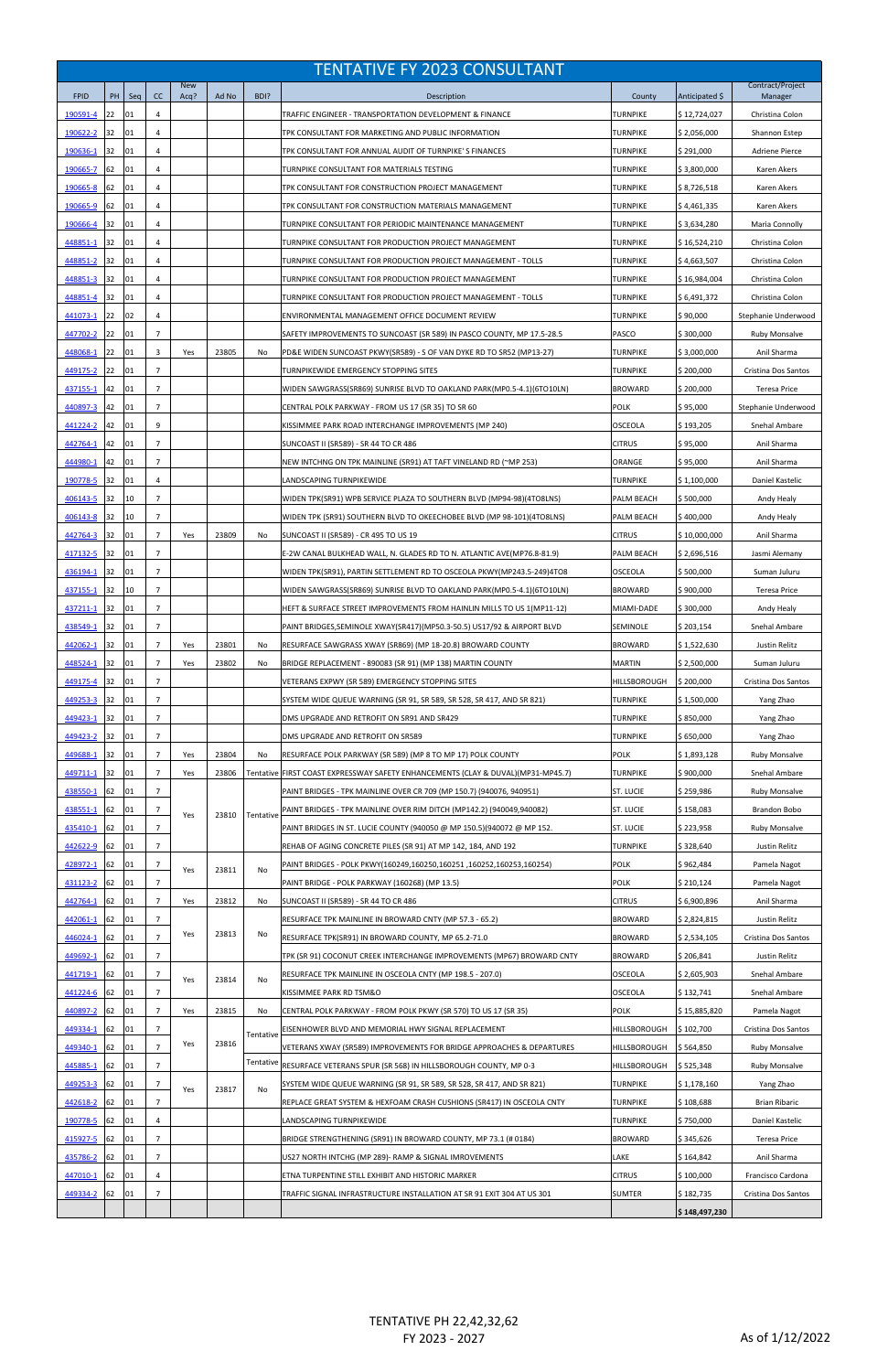|                      |          |          |                                  |                    |                |           | <b>TENTATIVE FY 2023 CONSULTANT</b>                                                                                                                      |                         |                        |                                       |
|----------------------|----------|----------|----------------------------------|--------------------|----------------|-----------|----------------------------------------------------------------------------------------------------------------------------------------------------------|-------------------------|------------------------|---------------------------------------|
| <b>FPID</b>          | PH       | Seq      | cc                               | <b>New</b><br>Acq? | Ad No          | BDI?      | Description                                                                                                                                              | County                  | Anticipated \$         | Contract/Project<br>Manager           |
| 190591-4             | 22       | 01       | 4                                |                    |                |           | TRAFFIC ENGINEER - TRANSPORTATION DEVELOPMENT & FINANCE                                                                                                  | TURNPIKE                | \$12,724,027           | Christina Colon                       |
| 190622-2             | 32       | 01       | 4                                |                    |                |           | TPK CONSULTANT FOR MARKETING AND PUBLIC INFORMATION                                                                                                      | TURNPIKE                | \$2,056,000            | Shannon Estep                         |
| 190636-1             | 32       | 01       | 4                                |                    |                |           | TPK CONSULTANT FOR ANNUAL AUDIT OF TURNPIKE'S FINANCES                                                                                                   | <b>TURNPIKE</b>         | \$291,000              | <b>Adriene Pierce</b>                 |
| 190665-7             | 62       | 01       | 4                                |                    |                |           | TURNPIKE CONSULTANT FOR MATERIALS TESTING                                                                                                                | TURNPIKE                | \$3,800,000            | Karen Akers                           |
| 190665-8             | 62       | 01       | 4                                |                    |                |           | TPK CONSULTANT FOR CONSTRUCTION PROJECT MANAGEMENT                                                                                                       | <b>TURNPIKE</b>         | \$8,726,518            | Karen Akers                           |
| 190665-9             | 62       | 01       | 4                                |                    |                |           | TPK CONSULTANT FOR CONSTRUCTION MATERIALS MANAGEMENT                                                                                                     | <b>TURNPIKE</b>         | \$4,461,335            | Karen Akers                           |
| 190666-4             | 32       | 01       | 4                                |                    |                |           | TURNPIKE CONSULTANT FOR PERIODIC MAINTENANCE MANAGEMENT                                                                                                  | TURNPIKE                | \$3,634,280            | Maria Connolly                        |
| 448851-1             | 32       | 01       | 4                                |                    |                |           | TURNPIKE CONSULTANT FOR PRODUCTION PROJECT MANAGEMENT                                                                                                    | TURNPIKE                | \$16,524,210           | Christina Colon                       |
| 448851-2             | 32       | 01       | 4                                |                    |                |           | TURNPIKE CONSULTANT FOR PRODUCTION PROJECT MANAGEMENT - TOLLS                                                                                            | TURNPIKE                | \$4,663,507            | Christina Colon                       |
| 448851-3             | 32       | 01       | 4                                |                    |                |           | TURNPIKE CONSULTANT FOR PRODUCTION PROJECT MANAGEMENT                                                                                                    | <b>TURNPIKE</b>         | \$16,984,004           | Christina Colon                       |
| 448851-4             | 32       | 01       | 4                                |                    |                |           | TURNPIKE CONSULTANT FOR PRODUCTION PROJECT MANAGEMENT - TOLLS                                                                                            | TURNPIKE                | \$6,491,372            | Christina Colon                       |
| 441073-1             | 22       | 02       | 4                                |                    |                |           | ENVIRONMENTAL MANAGEMENT OFFICE DOCUMENT REVIEW                                                                                                          | TURNPIKE                | \$90,000               | Stephanie Underwood                   |
| 447702-2             | 22       | 01       | $\overline{7}$                   |                    |                |           | SAFETY IMPROVEMENTS TO SUNCOAST (SR 589) IN PASCO COUNTY, MP 17.5-28.5                                                                                   | <b>PASCO</b>            | \$300.000              | <b>Ruby Monsalve</b>                  |
| 448068-1             | 22       | 01       | 3                                | Yes                | 23805          | No        | PD&E WIDEN SUNCOAST PKWY(SR589) - S OF VAN DYKE RD TO SR52 (MP13-27)                                                                                     | <b>TURNPIKE</b>         | \$3,000,000            | Anil Sharma                           |
| 449175-2             | 22       | 01       | $\overline{7}$                   |                    |                |           | TURNPIKEWIDE EMERGENCY STOPPING SITES                                                                                                                    | <b>TURNPIKE</b>         | \$200,000              | Cristina Dos Santos                   |
| 437155-1             | 42       | 01       | $\overline{7}$                   |                    |                |           | WIDEN SAWGRASS(SR869) SUNRISE BLVD TO OAKLAND PARK(MP0.5-4.1)(6TO10LN)                                                                                   | <b>BROWARD</b>          | \$200,000              | Teresa Price                          |
| 440897-3             | 42       | 01       | $\overline{7}$                   |                    |                |           | CENTRAL POLK PARKWAY - FROM US 17 (SR 35) TO SR 60                                                                                                       | <b>POLK</b>             | \$95,000               | Stephanie Underwood                   |
| 441224-2             | 42       | 01       | 9                                |                    |                |           | KISSIMMEE PARK ROAD INTERCHANGE IMPROVEMENTS (MP 240)                                                                                                    | <b>OSCEOLA</b>          | \$193,205              | Snehal Ambare                         |
| 442764-1             | 42       | 01       | $\overline{7}$                   |                    |                |           | SUNCOAST II (SR589) - SR 44 TO CR 486                                                                                                                    | <b>CITRUS</b>           | \$95,000               | Anil Sharma                           |
| 444980-1             | 42       | 01       | $\overline{7}$                   |                    |                |           | NEW INTCHNG ON TPK MAINLINE (SR91) AT TAFT VINELAND RD (~MP 253)                                                                                         | ORANGE                  | \$95,000               | Anil Sharma                           |
| 190778-5             | 32       | 01       | 4                                |                    |                |           | LANDSCAPING TURNPIKEWIDE                                                                                                                                 | <b>TURNPIKE</b>         | \$1,100,000            | Daniel Kastelic                       |
| 406143-5             | 32       | 10       | $\overline{7}$                   |                    |                |           | WIDEN TPK(SR91) WPB SERVICE PLAZA TO SOUTHERN BLVD (MP94-98)(4TO8LNS)                                                                                    | PALM BEACH              | \$500,000              | Andy Healy                            |
| 406143-8             | 32       | 10       | $\overline{7}$                   |                    |                |           | WIDEN TPK (SR91) SOUTHERN BLVD TO OKEECHOBEE BLVD (MP 98-101)(4TO8LNS)                                                                                   | PALM BEACH              | \$400,000              | Andy Healy                            |
| 442764-3             | 32       | 01       | $\overline{7}$                   | Yes                | 23809          | No        | SUNCOAST II (SR589) - CR 495 TO US 19                                                                                                                    | <b>CITRUS</b>           | \$10,000,000           | Anil Sharma                           |
| 417132-5 32          |          | 01       | $\overline{7}$                   |                    |                |           | E-2W CANAL BULKHEAD WALL, N. GLADES RD TO N. ATLANTIC AVE(MP76.8-81.9)                                                                                   | <b>PALM BEACH</b>       | \$2,696,516            | Jasmi Alemany                         |
| 436194-1             | 32       | 01       | $\overline{7}$                   |                    |                |           | WIDEN TPK(SR91), PARTIN SETTLEMENT RD TO OSCEOLA PKWY(MP243.5-249)4TO8                                                                                   | <b>OSCEOLA</b>          | \$500,000              | Suman Juluru                          |
| 437155-1             | 32       | 10       | $\overline{7}$                   |                    |                |           | WIDEN SAWGRASS(SR869) SUNRISE BLVD TO OAKLAND PARK(MP0.5-4.1)(6TO10LN)                                                                                   | <b>BROWARD</b>          | \$900,000              | <b>Teresa Price</b>                   |
| 437211-1             | 32       | 01       | $\overline{7}$                   |                    |                |           | HEFT & SURFACE STREET IMPROVEMENTS FROM HAINLIN MILLS TO US 1(MP11-12)                                                                                   | MIAMI-DADE              | \$300,000              | Andy Healy                            |
| 438549-1             | 32       | 01       | $\overline{7}$                   |                    |                |           | PAINT BRIDGES, SEMINOLE XWAY(SR417)(MP50.3-50.5) US17/92 & AIRPORT BLVD                                                                                  | SEMINOLE                | \$203,154              | Snehal Ambare                         |
| 442062-1             | 32       | 01       | $\overline{7}$                   | Yes                | 23801          | No        | RESURFACE SAWGRASS XWAY (SR869) (MP 18-20.8) BROWARD COUNTY                                                                                              | <b>BROWARD</b>          | \$1,522,630            | Justin Relitz                         |
| 448524-1             | 32       | 01       | $\overline{7}$                   | Yes                | 23802          | No        | BRIDGE REPLACEMENT - 890083 (SR 91) (MP 138) MARTIN COUNTY                                                                                               | <b>MARTIN</b>           | \$2,500,000            | Suman Juluru                          |
| 449175-4             | 32       | 01       | $\overline{7}$                   |                    |                |           | VETERANS EXPWY (SR 589) EMERGENCY STOPPING SITES                                                                                                         | HILLSBOROUGH            | \$200,000              | Cristina Dos Santos                   |
| <u>449253-3</u>      | 32       | 01       | $\overline{7}$                   |                    |                |           | SYSTEM WIDE QUEUE WARNING (SR 91, SR 589, SR 528, SR 417, AND SR 821)                                                                                    | <b>TURNPIKE</b>         | \$1,500,000            | Yang Zhao                             |
| 449423-1             | 32       | 01       | $\overline{7}$                   |                    |                |           | DMS UPGRADE AND RETROFIT ON SR91 AND SR429                                                                                                               | TURNPIKE                | \$850,000              | Yang Zhao                             |
| 449423-2             | 32       | 01       | $\overline{7}$                   |                    |                |           | DMS UPGRADE AND RETROFIT ON SR589                                                                                                                        | <b>TURNPIKE</b>         | \$650,000              | Yang Zhao                             |
| 449688-1             | 32<br>32 | 01<br>01 | $\overline{7}$<br>$\overline{7}$ | Yes<br>Yes         | 23804<br>23806 | No        | RESURFACE POLK PARKWAY (SR 589) (MP 8 TO MP 17) POLK COUNTY                                                                                              | <b>POLK</b><br>TURNPIKE | \$1,893,128            | <b>Ruby Monsalve</b>                  |
| 449711-1<br>438550-1 | 62       | 01       | $\overline{7}$                   |                    |                |           | Tentative FIRST COAST EXPRESSWAY SAFETY ENHANCEMENTS (CLAY & DUVAL)(MP31-MP45.7)<br>PAINT BRIDGES - TPK MAINLINE OVER CR 709 (MP 150.7) (940076, 940951) | ST. LUCIE               | \$900,000<br>\$259,986 | Snehal Ambare<br><b>Ruby Monsalve</b> |
| 438551-1             | 62       | 01       | $\overline{7}$                   |                    |                |           | PAINT BRIDGES - TPK MAINLINE OVER RIM DITCH (MP142.2) (940049,940082)                                                                                    | ST. LUCIE               | \$158,083              | Brandon Bobo                          |
| 435410-1             | 62       | 01       | $\overline{7}$                   | Yes                | 23810          | Tentative | PAINT BRIDGES IN ST. LUCIE COUNTY (940050 @ MP 150.5)(940072 @ MP 152.                                                                                   | ST. LUCIE               | \$223,958              | <b>Ruby Monsalve</b>                  |
| 442622-9             | 62       | 01       | $\overline{7}$                   |                    |                |           | REHAB OF AGING CONCRETE PILES (SR 91) AT MP 142, 184, AND 192                                                                                            | TURNPIKE                | \$328,640              | Justin Relitz                         |
| 428972-1             | 62       | 01       | $\overline{7}$                   |                    |                |           | PAINT BRIDGES - POLK PKWY(160249,160250,160251,160252,160253,160254)                                                                                     | <b>POLK</b>             | \$962,484              | Pamela Nagot                          |
| 431123-2             | 62       | 01       | $\overline{7}$                   | Yes                | 23811          | No        | PAINT BRIDGE - POLK PARKWAY (160268) (MP 13.5)                                                                                                           | <b>POLK</b>             | \$210,124              | Pamela Nagot                          |
| 442764-1             | 62       | 01       | $\overline{7}$                   | Yes                | 23812          | No        | SUNCOAST II (SR589) - SR 44 TO CR 486                                                                                                                    | CITRUS                  | \$6,900,896            | Anil Sharma                           |
| 442061-1             | 62       | 01       | $\overline{7}$                   |                    |                |           | RESURFACE TPK MAINLINE IN BROWARD CNTY (MP 57.3 - 65.2)                                                                                                  | <b>BROWARD</b>          | \$2,824,815            | Justin Relitz                         |
| 446024-1             | 62       | 01       | $\overline{7}$                   | Yes                | 23813          | No        | RESURFACE TPK(SR91) IN BROWARD COUNTY, MP 65.2-71.0                                                                                                      | <b>BROWARD</b>          | \$2,534,105            | Cristina Dos Santos                   |
| 449692-1             | 62       | 01       | $\overline{7}$                   |                    |                |           | TPK (SR 91) COCONUT CREEK INTERCHANGE IMPROVEMENTS (MP67) BROWARD CNTY                                                                                   | <b>BROWARD</b>          | \$206,841              | Justin Relitz                         |
| 441719-1             | 62       | 01       | $\overline{7}$                   | Yes                | 23814          | No        | RESURFACE TPK MAINLINE IN OSCEOLA CNTY (MP 198.5 - 207.0)                                                                                                | <b>OSCEOLA</b>          | \$2,605,903            | Snehal Ambare                         |
| 441224-6             | 62       | 01       | $\overline{7}$                   |                    |                |           | KISSIMMEE PARK RD TSM&O                                                                                                                                  | <b>OSCEOLA</b>          | \$132,741              | Snehal Ambare                         |
| 440897-2             | 62       | 01       | $\overline{7}$                   | Yes                | 23815          | No        | CENTRAL POLK PARKWAY - FROM POLK PKWY (SR 570) TO US 17 (SR 35)                                                                                          | <b>POLK</b>             | \$15,885,820           | Pamela Nagot                          |
| 449334-1             | 62       | 01       | $\overline{7}$                   |                    |                | Tentative | EISENHOWER BLVD AND MEMORIAL HWY SIGNAL REPLACEMENT                                                                                                      | HILLSBOROUGH            | \$102,700              | Cristina Dos Santos                   |
| 449340-1             | 62       | 01       | $\overline{7}$                   | Yes                | 23816          |           | <b>VETERANS XWAY (SR589) IMPROVEMENTS FOR BRIDGE APPROACHES &amp; DEPARTURES</b>                                                                         | HILLSBOROUGH            | \$564,850              | <b>Ruby Monsalve</b>                  |
| 445885-1             | 62       | 01       | $\overline{7}$                   |                    |                |           | Tentative RESURFACE VETERANS SPUR (SR 568) IN HILLSBOROUGH COUNTY, MP 0-3                                                                                | <b>HILLSBOROUGH</b>     | \$525,348              | <b>Ruby Monsalve</b>                  |
| 449253-3             | 62       | 01       | $\overline{7}$                   | Yes                | 23817          | No        | SYSTEM WIDE QUEUE WARNING (SR 91, SR 589, SR 528, SR 417, AND SR 821)                                                                                    | TURNPIKE                | \$1,178,160            | Yang Zhao                             |
| 442618-2             | 62       | 01       | $\overline{7}$                   |                    |                |           | REPLACE GREAT SYSTEM & HEXFOAM CRASH CUSHIONS (SR417) IN OSCEOLA CNTY                                                                                    | TURNPIKE                | \$108,688              | <b>Brian Ribaric</b>                  |
| 190778-5             | 62       | 01       | 4                                |                    |                |           | LANDSCAPING TURNPIKEWIDE                                                                                                                                 | <b>TURNPIKE</b>         | \$750,000              | Daniel Kastelic                       |
| 415927-5             | 62       | 01       | $\overline{7}$                   |                    |                |           | BRIDGE STRENGTHENING (SR91) IN BROWARD COUNTY, MP 73.1 (# 0184)                                                                                          | <b>BROWARD</b>          | \$345,626              | <b>Teresa Price</b>                   |
| 435786-2             | 62       | 01       | $\overline{7}$                   |                    |                |           | US27 NORTH INTCHG (MP 289)- RAMP & SIGNAL IMROVEMENTS                                                                                                    | LAKE                    | \$164,842              | Anil Sharma                           |
| 447010-1             | 62       | 01       | 4                                |                    |                |           | ETNA TURPENTINE STILL EXHIBIT AND HISTORIC MARKER                                                                                                        | <b>CITRUS</b>           | \$100,000              | Francisco Cardona                     |
| 449334-2             | 62       | 01       | $\overline{7}$                   |                    |                |           | TRAFFIC SIGNAL INFRASTRUCTURE INSTALLATION AT SR 91 EXIT 304 AT US 301                                                                                   | <b>SUMTER</b>           | \$182,735              | Cristina Dos Santos                   |
|                      |          |          |                                  |                    |                |           |                                                                                                                                                          |                         | \$148,497,230          |                                       |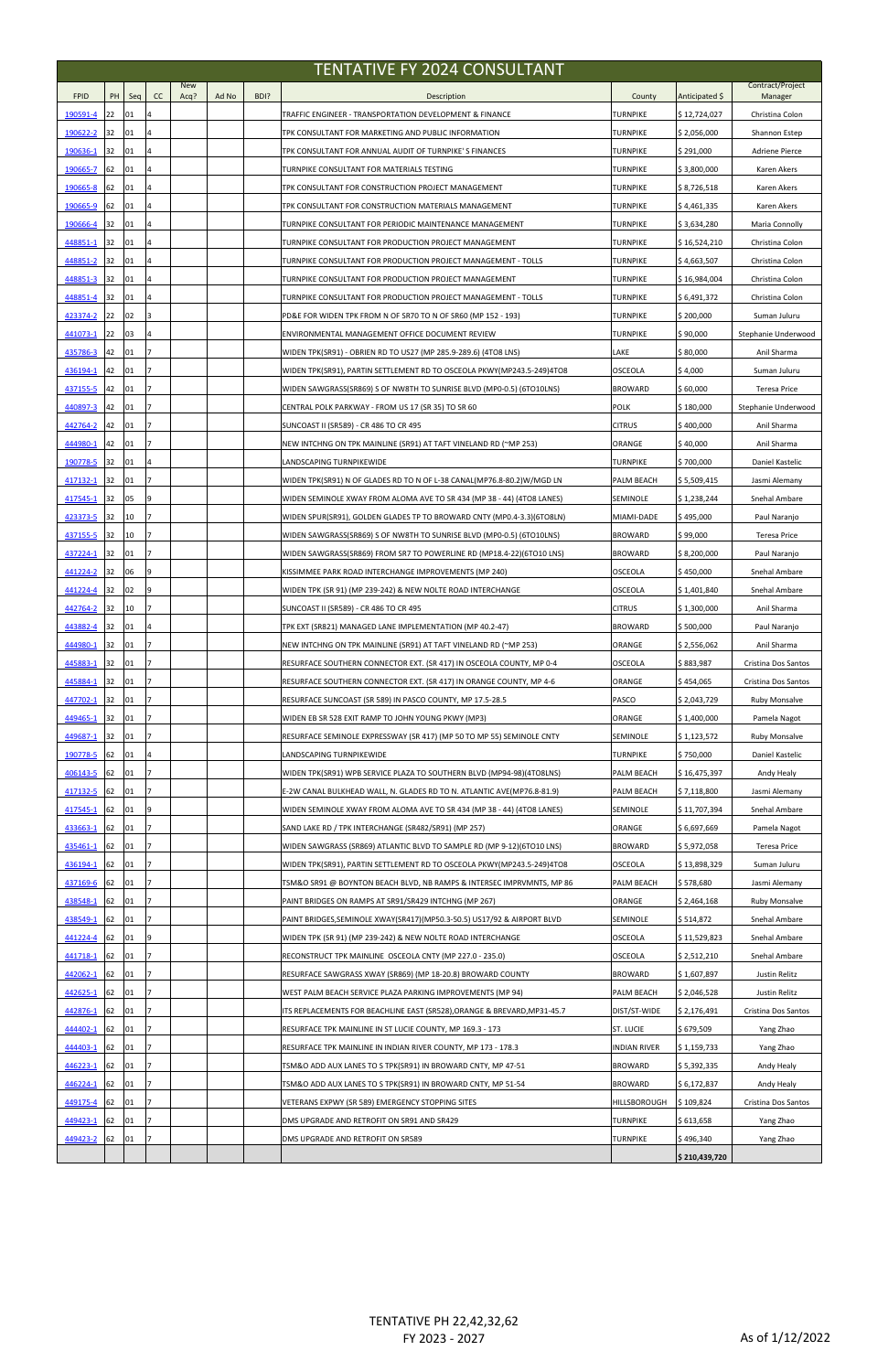| <b>TENTATIVE FY 2024 CONSULTANT</b> |          |          |    |                    |       |      |                                                                                                                                |                               |                             |                               |  |
|-------------------------------------|----------|----------|----|--------------------|-------|------|--------------------------------------------------------------------------------------------------------------------------------|-------------------------------|-----------------------------|-------------------------------|--|
| <b>FPID</b>                         | PH       | Seq      | cc | <b>New</b><br>Acq? | Ad No | BDI? | Description                                                                                                                    | County                        | Anticipated \$              | Contract/Project<br>Manager   |  |
| 190591-4                            | 22       | 01       |    |                    |       |      | TRAFFIC ENGINEER - TRANSPORTATION DEVELOPMENT & FINANCE                                                                        | TURNPIKE                      | \$12,724,027                | Christina Colon               |  |
| 190622-2                            | 32       | 01       |    |                    |       |      | TPK CONSULTANT FOR MARKETING AND PUBLIC INFORMATION                                                                            | <b>TURNPIKE</b>               | \$2,056,000                 | Shannon Estep                 |  |
| 190636-1                            | 32       | 01       |    |                    |       |      | TPK CONSULTANT FOR ANNUAL AUDIT OF TURNPIKE'S FINANCES                                                                         | <b>TURNPIKE</b>               | \$291,000                   | <b>Adriene Pierce</b>         |  |
| 190665-7                            | 62       | 01       |    |                    |       |      | TURNPIKE CONSULTANT FOR MATERIALS TESTING                                                                                      | <b>TURNPIKE</b>               | \$3,800,000                 | Karen Akers                   |  |
| 190665-8                            | 62       | 01       |    |                    |       |      | TPK CONSULTANT FOR CONSTRUCTION PROJECT MANAGEMENT                                                                             | <b>TURNPIKE</b>               | \$8,726,518                 | Karen Akers                   |  |
| 190665-9                            | 62       | 01       |    |                    |       |      | TPK CONSULTANT FOR CONSTRUCTION MATERIALS MANAGEMENT                                                                           | <b>TURNPIKE</b>               | \$4,461,335                 | Karen Akers                   |  |
| 190666-4                            | 32       | 01       |    |                    |       |      | TURNPIKE CONSULTANT FOR PERIODIC MAINTENANCE MANAGEMENT                                                                        | <b>TURNPIKE</b>               | \$3,634,280                 | Maria Connolly                |  |
| 448851-1                            | 32       | 01       |    |                    |       |      | TURNPIKE CONSULTANT FOR PRODUCTION PROJECT MANAGEMENT                                                                          | <b>TURNPIKE</b>               | \$16,524,210                | Christina Colon               |  |
| <u>448851-2</u>                     | 32       | 01       |    |                    |       |      | TURNPIKE CONSULTANT FOR PRODUCTION PROJECT MANAGEMENT - TOLLS                                                                  | <b>TURNPIKE</b>               | \$4,663,507                 | Christina Colon               |  |
| 448851-3                            | 32       | 01       |    |                    |       |      | TURNPIKE CONSULTANT FOR PRODUCTION PROJECT MANAGEMENT                                                                          | <b>TURNPIKE</b>               | \$16,984,004                | Christina Colon               |  |
| 448851-4                            | 32       | 01       |    |                    |       |      | TURNPIKE CONSULTANT FOR PRODUCTION PROJECT MANAGEMENT - TOLLS                                                                  | <b>TURNPIKE</b>               | \$6,491,372                 | Christina Colon               |  |
| 423374-2                            | 22       | 02       |    |                    |       |      | PD&E FOR WIDEN TPK FROM N OF SR70 TO N OF SR60 (MP 152 - 193)                                                                  | <b>TURNPIKE</b>               | \$200,000                   | Suman Juluru                  |  |
| 441073-1                            | 22       | 03       |    |                    |       |      | ENVIRONMENTAL MANAGEMENT OFFICE DOCUMENT REVIEW                                                                                | <b>TURNPIKE</b>               | \$90,000                    | Stephanie Underwood           |  |
| 435786-3                            | 42       | 01       |    |                    |       |      | WIDEN TPK(SR91) - OBRIEN RD TO US27 (MP 285.9-289.6) (4TO8 LNS)                                                                | LAKE                          | \$80,000                    | Anil Sharma                   |  |
| 436194-1                            | 42       | 01       |    |                    |       |      | WIDEN TPK(SR91), PARTIN SETTLEMENT RD TO OSCEOLA PKWY(MP243.5-249)4TO8                                                         | <b>OSCEOLA</b>                | \$4,000                     | Suman Juluru                  |  |
| 437155-5                            | 42       | 01       |    |                    |       |      | WIDEN SAWGRASS(SR869) S OF NW8TH TO SUNRISE BLVD (MP0-0.5) (6TO10LNS)                                                          | <b>BROWARD</b>                | \$60,000                    | Teresa Price                  |  |
| 440897-3                            | 42       | 01       |    |                    |       |      | CENTRAL POLK PARKWAY - FROM US 17 (SR 35) TO SR 60                                                                             | <b>POLK</b>                   | \$180,000                   | Stephanie Underwood           |  |
| 442764-2                            | 42       | 01       |    |                    |       |      | SUNCOAST II (SR589) - CR 486 TO CR 495                                                                                         | <b>CITRUS</b>                 | \$400,000                   | Anil Sharma                   |  |
| 444980-1                            | 42       | 01       |    |                    |       |      | NEW INTCHNG ON TPK MAINLINE (SR91) AT TAFT VINELAND RD (~MP 253)                                                               | ORANGE                        | \$40,000                    | Anil Sharma                   |  |
| 190778-5                            | 32       | 01       |    |                    |       |      | LANDSCAPING TURNPIKEWIDE                                                                                                       | <b>TURNPIKE</b>               | \$700,000                   | Daniel Kastelic               |  |
| 417132-1                            | 32       | 01       |    |                    |       |      | WIDEN TPK(SR91) N OF GLADES RD TO N OF L-38 CANAL(MP76.8-80.2)W/MGD LN                                                         | <b>PALM BEACH</b>             | \$5,509,415                 | Jasmi Alemany                 |  |
| 417545-1                            | 32       | 05       | q  |                    |       |      | WIDEN SEMINOLE XWAY FROM ALOMA AVE TO SR 434 (MP 38 - 44) (4TO8 LANES)                                                         | <b>SEMINOLE</b>               | \$1,238,244                 | Snehal Ambare                 |  |
| 423373-5                            | 32       | 10       |    |                    |       |      | WIDEN SPUR(SR91), GOLDEN GLADES TP TO BROWARD CNTY (MP0.4-3.3) (6TO8LN)                                                        | MIAMI-DADE                    | \$495,000                   | Paul Naranjo                  |  |
| 437155-5                            | 32       | 10       |    |                    |       |      | WIDEN SAWGRASS(SR869) S OF NW8TH TO SUNRISE BLVD (MP0-0.5) (6TO10LNS)                                                          | <b>BROWARD</b>                | \$99,000                    | Teresa Price                  |  |
| 437224-1                            | 32       | 01       | 17 |                    |       |      | WIDEN SAWGRASS(SR869) FROM SR7 TO POWERLINE RD (MP18.4-22)(6TO10 LNS)                                                          | <b>BROWARD</b>                | \$8,200,000                 | Paul Naranjo                  |  |
| 441224-2                            | 32       | 06       |    |                    |       |      | KISSIMMEE PARK ROAD INTERCHANGE IMPROVEMENTS (MP 240)                                                                          | <b>OSCEOLA</b>                | \$450,000                   | Snehal Ambare                 |  |
| 441224-4                            | 32       | 02       | q  |                    |       |      | WIDEN TPK (SR 91) (MP 239-242) & NEW NOLTE ROAD INTERCHANGE                                                                    | <b>OSCEOLA</b>                | \$1,401,840                 | Snehal Ambare                 |  |
| 442764-2                            | 32       | 10       |    |                    |       |      | SUNCOAST II (SR589) - CR 486 TO CR 495                                                                                         | <b>CITRUS</b>                 | \$1,300,000                 | Anil Sharma                   |  |
| 443882-4                            | 32       | 01       |    |                    |       |      | TPK EXT (SR821) MANAGED LANE IMPLEMENTATION (MP 40.2-47)                                                                       | <b>BROWARD</b>                | \$500,000                   | Paul Naranjo                  |  |
| 444980-1                            | 32       | 01       |    |                    |       |      | NEW INTCHNG ON TPK MAINLINE (SR91) AT TAFT VINELAND RD (~MP 253)                                                               | ORANGE                        | \$2,556,062                 | Anil Sharma                   |  |
| 445883-1                            | 32       | 01       |    |                    |       |      | RESURFACE SOUTHERN CONNECTOR EXT. (SR 417) IN OSCEOLA COUNTY, MP 0-4                                                           | <b>OSCEOLA</b>                | \$883,987                   | Cristina Dos Santos           |  |
| 445884-1                            | 32       | 01       |    |                    |       |      | RESURFACE SOUTHERN CONNECTOR EXT. (SR 417) IN ORANGE COUNTY, MP 4-6                                                            | ORANGE                        | \$454,065                   | Cristina Dos Santos           |  |
| 447702-1                            | 32       | 01       |    |                    |       |      | RESURFACE SUNCOAST (SR 589) IN PASCO COUNTY, MP 17.5-28.5                                                                      | <b>PASCO</b>                  | \$2,043,729                 | <b>Ruby Monsalve</b>          |  |
| 449465-1                            | 32       | 01       |    |                    |       |      | WIDEN EB SR 528 EXIT RAMP TO JOHN YOUNG PKWY (MP3)                                                                             | ORANGE                        | \$1,400,000                 | Pamela Nagot                  |  |
| 449687-1                            | 32       | 01       |    |                    |       |      | RESURFACE SEMINOLE EXPRESSWAY (SR 417) (MP 50 TO MP 55) SEMINOLE CNTY                                                          | <b>SEMINOLE</b>               | \$1,123,572                 | <b>Ruby Monsalve</b>          |  |
| 190778-5                            | 62       | 01<br>01 |    |                    |       |      | LANDSCAPING TURNPIKEWIDE                                                                                                       | <b>TURNPIKE</b>               | \$750,000                   | Daniel Kastelic               |  |
| 406143-5<br>417132-5                | 62<br>62 | 01       |    |                    |       |      | WIDEN TPK(SR91) WPB SERVICE PLAZA TO SOUTHERN BLVD (MP94-98)(4TO8LNS)                                                          | PALM BEACH                    | \$16,475,397                | Andy Healy                    |  |
|                                     | 62       | 01       | 9  |                    |       |      | E-2W CANAL BULKHEAD WALL, N. GLADES RD TO N. ATLANTIC AVE(MP76.8-81.9)                                                         | PALM BEACH<br><b>SEMINOLE</b> | \$7,118,800                 | Jasmi Alemany                 |  |
| 417545-1<br>433663-1                | 62       | 01       |    |                    |       |      | WIDEN SEMINOLE XWAY FROM ALOMA AVE TO SR 434 (MP 38 - 44) (4TO8 LANES)<br>SAND LAKE RD / TPK INTERCHANGE (SR482/SR91) (MP 257) | ORANGE                        | \$11,707,394<br>\$6,697,669 | Snehal Ambare<br>Pamela Nagot |  |
| 435461-1                            | 62       | 01       |    |                    |       |      | WIDEN SAWGRASS (SR869) ATLANTIC BLVD TO SAMPLE RD (MP 9-12) (6TO10 LNS)                                                        | <b>BROWARD</b>                | \$5,972,058                 | Teresa Price                  |  |
| 436194-1                            | 62       | 01       |    |                    |       |      | WIDEN TPK(SR91), PARTIN SETTLEMENT RD TO OSCEOLA PKWY(MP243.5-249)4TO8                                                         | <b>OSCEOLA</b>                | \$13,898,329                | Suman Juluru                  |  |
| 437169-6                            | 62       | 01       |    |                    |       |      | TSM&O SR91 @ BOYNTON BEACH BLVD, NB RAMPS & INTERSEC IMPRVMNTS, MP 86                                                          | PALM BEACH                    | \$578,680                   | Jasmi Alemany                 |  |
| 438548-1                            | 62       | 01       |    |                    |       |      | PAINT BRIDGES ON RAMPS AT SR91/SR429 INTCHNG (MP 267)                                                                          | ORANGE                        | \$2,464,168                 | <b>Ruby Monsalve</b>          |  |
| 438549-1                            | 62       | 01       |    |                    |       |      | PAINT BRIDGES, SEMINOLE XWAY(SR417) (MP50.3-50.5) US17/92 & AIRPORT BLVD                                                       | <b>SEMINOLE</b>               | \$514,872                   | Snehal Ambare                 |  |
| 441224-4                            | 62       | 01       | q  |                    |       |      | WIDEN TPK (SR 91) (MP 239-242) & NEW NOLTE ROAD INTERCHANGE                                                                    | <b>OSCEOLA</b>                | \$11,529,823                | Snehal Ambare                 |  |
| 441718-1                            | 62       | 01       |    |                    |       |      | RECONSTRUCT TPK MAINLINE OSCEOLA CNTY (MP 227.0 - 235.0)                                                                       | <b>OSCEOLA</b>                | \$2,512,210                 | Snehal Ambare                 |  |
| 442062-1                            | 62       | 01       |    |                    |       |      | RESURFACE SAWGRASS XWAY (SR869) (MP 18-20.8) BROWARD COUNTY                                                                    | <b>BROWARD</b>                | \$1,607,897                 | Justin Relitz                 |  |
| 442625-1                            | 62       | 01       |    |                    |       |      | WEST PALM BEACH SERVICE PLAZA PARKING IMPROVEMENTS (MP 94)                                                                     | <b>PALM BEACH</b>             | \$2,046,528                 | Justin Relitz                 |  |
| 442876-1                            | 62       | 01       |    |                    |       |      | ITS REPLACEMENTS FOR BEACHLINE EAST (SR528), ORANGE & BREVARD, MP31-45.7                                                       | DIST/ST-WIDE                  | \$2,176,491                 | Cristina Dos Santos           |  |
| 444402-1                            | 62       | 01       |    |                    |       |      | RESURFACE TPK MAINLINE IN ST LUCIE COUNTY, MP 169.3 - 173                                                                      | <b>ST. LUCIE</b>              | \$679,509                   | Yang Zhao                     |  |
| 444403-1                            | 62       | 01       |    |                    |       |      | RESURFACE TPK MAINLINE IN INDIAN RIVER COUNTY, MP 173 - 178.3                                                                  | <b>INDIAN RIVER</b>           | \$1,159,733                 | Yang Zhao                     |  |
| 446223-1                            | 62       | 01       | 17 |                    |       |      | TSM&O ADD AUX LANES TO S TPK(SR91) IN BROWARD CNTY, MP 47-51                                                                   | <b>BROWARD</b>                | \$5,392,335                 | Andy Healy                    |  |
| 446224-1                            | 62       | 01       |    |                    |       |      | TSM&O ADD AUX LANES TO S TPK(SR91) IN BROWARD CNTY, MP 51-54                                                                   | <b>BROWARD</b>                | \$6,172,837                 | Andy Healy                    |  |
| 449175-4                            | 62       | 01       |    |                    |       |      | VETERANS EXPWY (SR 589) EMERGENCY STOPPING SITES                                                                               | HILLSBOROUGH                  | \$109,824                   | Cristina Dos Santos           |  |
| 449423-1                            | 62       | 01       |    |                    |       |      | DMS UPGRADE AND RETROFIT ON SR91 AND SR429                                                                                     | <b>TURNPIKE</b>               | \$613,658                   | Yang Zhao                     |  |
| 449423-2                            | 62       | 01       |    |                    |       |      | DMS UPGRADE AND RETROFIT ON SR589                                                                                              | <b>TURNPIKE</b>               | \$496,340                   | Yang Zhao                     |  |
|                                     |          |          |    |                    |       |      |                                                                                                                                |                               | \$210,439,720               |                               |  |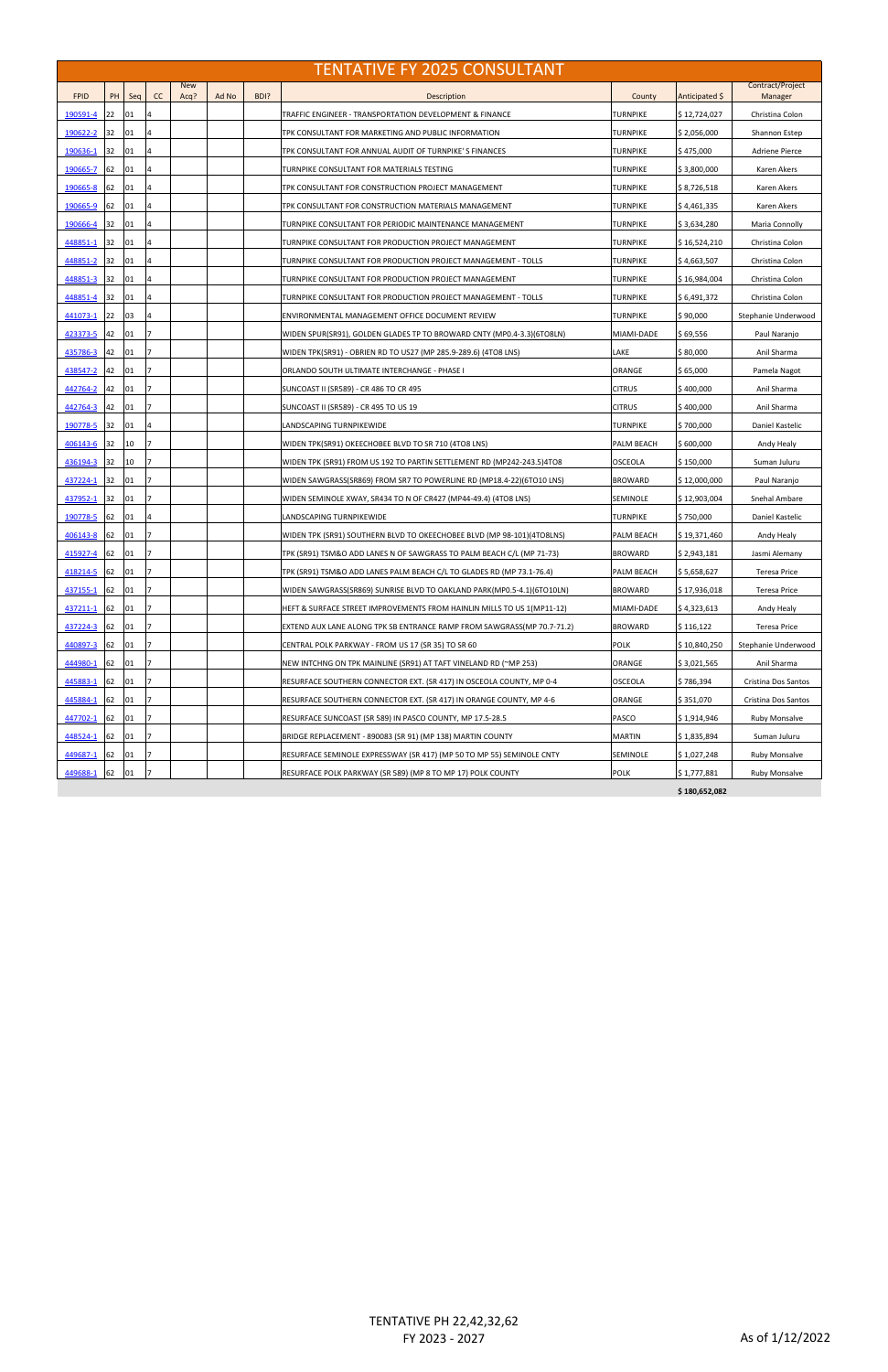|                 | <b>TENTATIVE FY 2025 CONSULTANT</b> |     |    |                    |       |      |                                                                        |                 |                |                             |  |
|-----------------|-------------------------------------|-----|----|--------------------|-------|------|------------------------------------------------------------------------|-----------------|----------------|-----------------------------|--|
| <b>FPID</b>     | PH                                  | Seq | cc | <b>New</b><br>Acq? | Ad No | BDI? | Description                                                            | County          | Anticipated \$ | Contract/Project<br>Manager |  |
| 190591-4        | 22                                  | 01  |    |                    |       |      | TRAFFIC ENGINEER - TRANSPORTATION DEVELOPMENT & FINANCE                | TURNPIKE        | \$12,724,027   | Christina Colon             |  |
| 190622-2        | 32                                  | 01  |    |                    |       |      | TPK CONSULTANT FOR MARKETING AND PUBLIC INFORMATION                    | TURNPIKE        | \$2,056,000    | Shannon Estep               |  |
| 190636-1        | 32                                  | 01  |    |                    |       |      | TPK CONSULTANT FOR ANNUAL AUDIT OF TURNPIKE'S FINANCES                 | TURNPIKE        | \$475,000      | Adriene Pierce              |  |
| 190665-7        | 62                                  | 01  |    |                    |       |      | TURNPIKE CONSULTANT FOR MATERIALS TESTING                              | TURNPIKE        | \$3,800,000    | Karen Akers                 |  |
| 190665-8        | 62                                  | 01  |    |                    |       |      | TPK CONSULTANT FOR CONSTRUCTION PROJECT MANAGEMENT                     | <b>TURNPIKE</b> | \$8,726,518    | Karen Akers                 |  |
| 190665-9        | 62                                  | 01  |    |                    |       |      | TPK CONSULTANT FOR CONSTRUCTION MATERIALS MANAGEMENT                   | TURNPIKE        | \$4,461,335    | Karen Akers                 |  |
| 190666-4        | 32                                  | 01  | 4  |                    |       |      | TURNPIKE CONSULTANT FOR PERIODIC MAINTENANCE MANAGEMENT                | TURNPIKE        | \$3,634,280    | Maria Connolly              |  |
| 448851-1        | 32                                  | 01  |    |                    |       |      | TURNPIKE CONSULTANT FOR PRODUCTION PROJECT MANAGEMENT                  | TURNPIKE        | \$16,524,210   | Christina Colon             |  |
| 448851-2        | 32                                  | 01  |    |                    |       |      | TURNPIKE CONSULTANT FOR PRODUCTION PROJECT MANAGEMENT - TOLLS          | TURNPIKE        | \$4,663,507    | Christina Colon             |  |
| <u>448851-3</u> | 32                                  | 01  |    |                    |       |      | TURNPIKE CONSULTANT FOR PRODUCTION PROJECT MANAGEMENT                  | TURNPIKE        | \$16,984,004   | Christina Colon             |  |
| 448851-4        | 32                                  | 01  |    |                    |       |      | TURNPIKE CONSULTANT FOR PRODUCTION PROJECT MANAGEMENT - TOLLS          | TURNPIKE        | \$6,491,372    | Christina Colon             |  |
| 441073-1        | 22                                  | 03  |    |                    |       |      | ENVIRONMENTAL MANAGEMENT OFFICE DOCUMENT REVIEW                        | TURNPIKE        | \$90,000       | Stephanie Underwood         |  |
| 423373-5        | 42                                  | 01  |    |                    |       |      | WIDEN SPUR(SR91), GOLDEN GLADES TP TO BROWARD CNTY (MP0.4-3.3)(6TO8LN) | MIAMI-DADE      | \$ 69,556      | Paul Naranjo                |  |
| 435786-3        | 42                                  | 01  |    |                    |       |      | WIDEN TPK(SR91) - OBRIEN RD TO US27 (MP 285.9-289.6) (4TO8 LNS)        | LAKE            | \$80,000       | Anil Sharma                 |  |
| 438547-2        | 42                                  | 01  |    |                    |       |      | ORLANDO SOUTH ULTIMATE INTERCHANGE - PHASE I                           | ORANGE          | \$65,000       | Pamela Nagot                |  |
| 442764-2        | 42                                  | 01  |    |                    |       |      | SUNCOAST II (SR589) - CR 486 TO CR 495                                 | <b>CITRUS</b>   | \$400,000      | Anil Sharma                 |  |
| 442764-3        | 42                                  | 01  |    |                    |       |      | SUNCOAST II (SR589) - CR 495 TO US 19                                  | <b>CITRUS</b>   | \$400,000      | Anil Sharma                 |  |
| 190778-5        | 32                                  | 01  |    |                    |       |      | LANDSCAPING TURNPIKEWIDE                                               | TURNPIKE        | \$700,000      | Daniel Kastelic             |  |
| 406143-6        | 32                                  | 10  |    |                    |       |      | WIDEN TPK(SR91) OKEECHOBEE BLVD TO SR 710 (4TO8 LNS)                   | PALM BEACH      | \$600,000      | Andy Healy                  |  |
| 436194-3        | 32                                  | 10  |    |                    |       |      | WIDEN TPK (SR91) FROM US 192 TO PARTIN SETTLEMENT RD (MP242-243.5)4TO8 | <b>OSCEOLA</b>  | \$150,000      | Suman Juluru                |  |
| 437224-1        | 32                                  | 01  |    |                    |       |      | WIDEN SAWGRASS(SR869) FROM SR7 TO POWERLINE RD (MP18.4-22)(6TO10 LNS)  | <b>BROWARD</b>  | \$12,000,000   | Paul Naranjo                |  |
| 437952-1        | 32                                  | 01  |    |                    |       |      | WIDEN SEMINOLE XWAY, SR434 TO N OF CR427 (MP44-49.4) (4TO8 LNS)        | SEMINOLE        | \$12,903,004   | Snehal Ambare               |  |
| 190778-5        | 62                                  | 01  | 4  |                    |       |      | LANDSCAPING TURNPIKEWIDE                                               | <b>TURNPIKE</b> | \$750,000      | Daniel Kastelic             |  |
| 406143-8        | 62                                  | 01  |    |                    |       |      | WIDEN TPK (SR91) SOUTHERN BLVD TO OKEECHOBEE BLVD (MP 98-101)(4TO8LNS) | PALM BEACH      | \$19,371,460   | Andy Healy                  |  |
| 415927-4 62     |                                     | 01  |    |                    |       |      | TPK (SR91) TSM&O ADD LANES N OF SAWGRASS TO PALM BEACH C/L (MP 71-73)  | <b>BROWARD</b>  | \$2,943,181    | Jasmi Alemany               |  |
| 418214-5        | 62                                  | 01  | 7  |                    |       |      | TPK (SR91) TSM&O ADD LANES PALM BEACH C/L TO GLADES RD (MP 73.1-76.4)  | PALM BEACH      | \$5,658,627    | <b>Teresa Price</b>         |  |
| 437155-1        | 62                                  | 01  |    |                    |       |      | WIDEN SAWGRASS(SR869) SUNRISE BLVD TO OAKLAND PARK(MP0.5-4.1)(6TO10LN) | <b>BROWARD</b>  | \$17,936,018   | <b>Teresa Price</b>         |  |
| 437211-1        | 62                                  | 01  |    |                    |       |      | HEFT & SURFACE STREET IMPROVEMENTS FROM HAINLIN MILLS TO US 1(MP11-12) | MIAMI-DADE      | \$4,323,613    | Andy Healy                  |  |
| 437224-3        | 62                                  | 01  |    |                    |       |      | EXTEND AUX LANE ALONG TPK SB ENTRANCE RAMP FROM SAWGRASS(MP 70.7-71.2) | <b>BROWARD</b>  | \$116,122      | <b>Teresa Price</b>         |  |
| 440897-3        | 62                                  | 01  |    |                    |       |      | CENTRAL POLK PARKWAY - FROM US 17 (SR 35) TO SR 60                     | <b>POLK</b>     | \$10,840,250   | Stephanie Underwood         |  |
| 444980-1        | 62                                  | 01  |    |                    |       |      | NEW INTCHNG ON TPK MAINLINE (SR91) AT TAFT VINELAND RD (~MP 253)       | ORANGE          | \$3,021,565    | Anil Sharma                 |  |
| 445883-1        | 62                                  | 01  |    |                    |       |      | RESURFACE SOUTHERN CONNECTOR EXT. (SR 417) IN OSCEOLA COUNTY, MP 0-4   | <b>OSCEOLA</b>  | \$786,394      | Cristina Dos Santos         |  |
| 445884-1        | 62                                  | 01  |    |                    |       |      | RESURFACE SOUTHERN CONNECTOR EXT. (SR 417) IN ORANGE COUNTY, MP 4-6    | ORANGE          | \$351,070      | Cristina Dos Santos         |  |
| 447702-1        | 62                                  | 01  |    |                    |       |      | RESURFACE SUNCOAST (SR 589) IN PASCO COUNTY, MP 17.5-28.5              | PASCO           | \$1,914,946    | Ruby Monsalve               |  |
| 448524-1        | 62                                  | 01  |    |                    |       |      | BRIDGE REPLACEMENT - 890083 (SR 91) (MP 138) MARTIN COUNTY             | <b>MARTIN</b>   | \$1,835,894    | Suman Juluru                |  |
| 449687-1        | 62                                  | 01  |    |                    |       |      | RESURFACE SEMINOLE EXPRESSWAY (SR 417) (MP 50 TO MP 55) SEMINOLE CNTY  | SEMINOLE        | \$1,027,248    | Ruby Monsalve               |  |
| 449688-1        | 62                                  | 01  |    |                    |       |      | RESURFACE POLK PARKWAY (SR 589) (MP 8 TO MP 17) POLK COUNTY            | <b>POLK</b>     | \$1,777,881    | <b>Ruby Monsalve</b>        |  |
|                 |                                     |     |    |                    |       |      |                                                                        |                 | \$180,652,082  |                             |  |

TENTATIVE PH 22,42,32,62 FY 2023 - 2027 As of 1/12/2022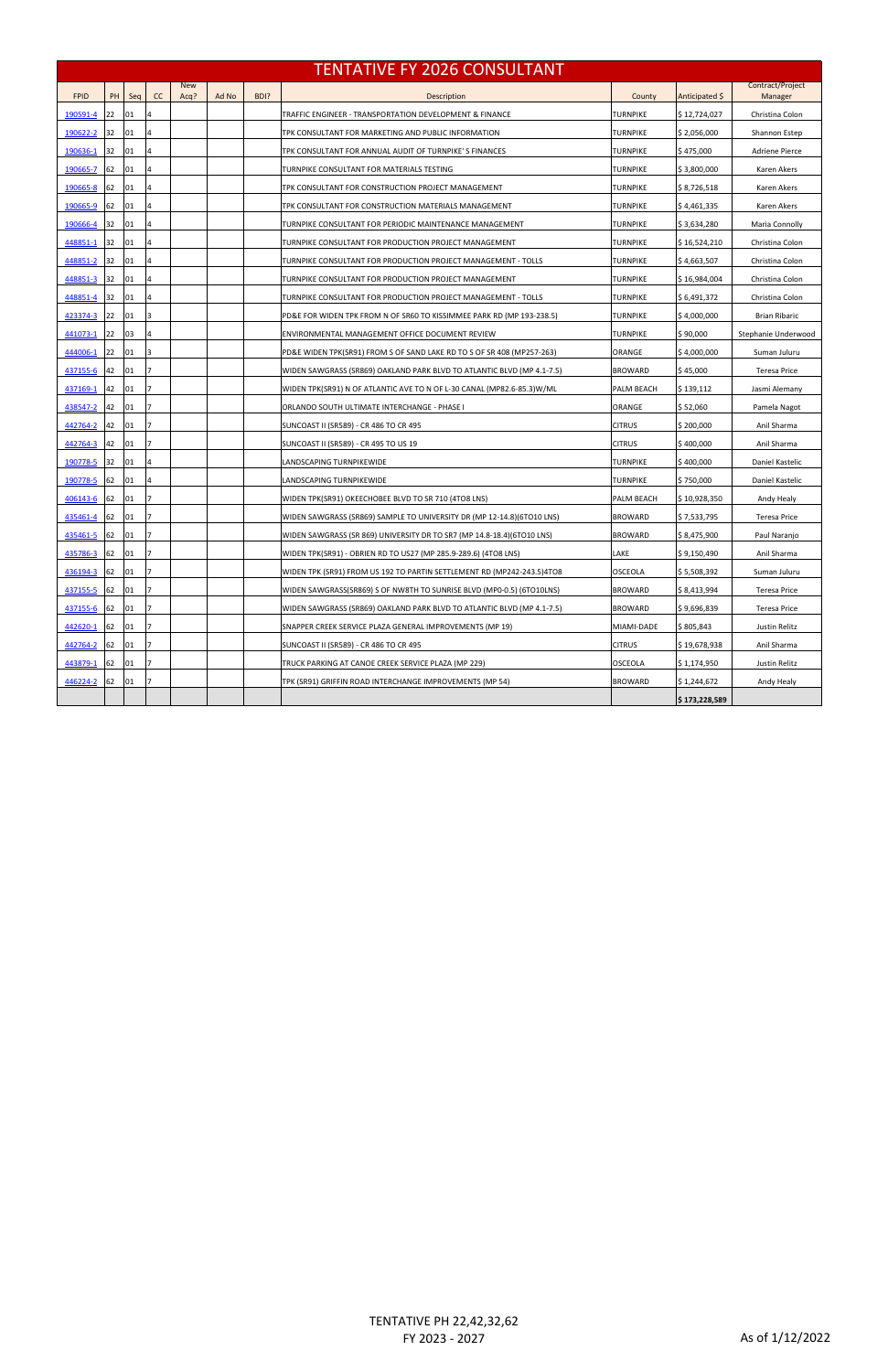|             |    |     |    |                    |       |      | <b>TENTATIVE FY 2026 CONSULTANT</b>                                     |                   |                |                             |
|-------------|----|-----|----|--------------------|-------|------|-------------------------------------------------------------------------|-------------------|----------------|-----------------------------|
| <b>FPID</b> | PH | Seq | cc | <b>New</b><br>Acq? | Ad No | BDI? | Description                                                             | County            | Anticipated \$ | Contract/Project<br>Manager |
| 190591-4    | 22 | 01  |    |                    |       |      | TRAFFIC ENGINEER - TRANSPORTATION DEVELOPMENT & FINANCE                 | <b>TURNPIKE</b>   | \$12,724,027   | Christina Colon             |
| 190622-2    | 32 | 01  | 4  |                    |       |      | TPK CONSULTANT FOR MARKETING AND PUBLIC INFORMATION                     | <b>TURNPIKE</b>   | \$2,056,000    | Shannon Estep               |
| 190636-1    | 32 | 01  |    |                    |       |      | TPK CONSULTANT FOR ANNUAL AUDIT OF TURNPIKE'S FINANCES                  | TURNPIKE          | \$475,000      | Adriene Pierce              |
| 190665-7    | 62 | 01  | 4  |                    |       |      | TURNPIKE CONSULTANT FOR MATERIALS TESTING                               | TURNPIKE          | \$3,800,000    | Karen Akers                 |
| 190665-8    | 62 | 01  |    |                    |       |      | TPK CONSULTANT FOR CONSTRUCTION PROJECT MANAGEMENT                      | TURNPIKE          | \$8,726,518    | Karen Akers                 |
| 190665-9    | 62 | 01  |    |                    |       |      | TPK CONSULTANT FOR CONSTRUCTION MATERIALS MANAGEMENT                    | TURNPIKE          | \$4,461,335    | Karen Akers                 |
| 190666-4    | 32 | 01  |    |                    |       |      | TURNPIKE CONSULTANT FOR PERIODIC MAINTENANCE MANAGEMENT                 | TURNPIKE          | \$3,634,280    | Maria Connolly              |
| 448851-1    | 32 | 01  |    |                    |       |      | TURNPIKE CONSULTANT FOR PRODUCTION PROJECT MANAGEMENT                   | TURNPIKE          | \$16,524,210   | Christina Colon             |
| 448851-2    | 32 | 01  |    |                    |       |      | TURNPIKE CONSULTANT FOR PRODUCTION PROJECT MANAGEMENT - TOLLS           | TURNPIKE          | \$4,663,507    | Christina Colon             |
| 448851-3    | 32 | 01  |    |                    |       |      | TURNPIKE CONSULTANT FOR PRODUCTION PROJECT MANAGEMENT                   | TURNPIKE          | \$16,984,004   | Christina Colon             |
| 448851-4    | 32 | 01  |    |                    |       |      | TURNPIKE CONSULTANT FOR PRODUCTION PROJECT MANAGEMENT - TOLLS           | TURNPIKE          | \$6,491,372    | Christina Colon             |
| 423374-3    | 22 | 01  | 3  |                    |       |      | PD&E FOR WIDEN TPK FROM N OF SR60 TO KISSIMMEE PARK RD (MP 193-238.5)   | TURNPIKE          | \$4,000,000    | <b>Brian Ribaric</b>        |
| 441073-1    | 22 | 03  |    |                    |       |      | ENVIRONMENTAL MANAGEMENT OFFICE DOCUMENT REVIEW                         | TURNPIKE          | \$90,000       | Stephanie Underwood         |
| 444006-1    | 22 | 01  | R  |                    |       |      | PD&E WIDEN TPK(SR91) FROM S OF SAND LAKE RD TO S OF SR 408 (MP257-263)  | ORANGE            | \$4,000,000    | Suman Juluru                |
| 437155-6    | 42 | 01  |    |                    |       |      | WIDEN SAWGRASS (SR869) OAKLAND PARK BLVD TO ATLANTIC BLVD (MP 4.1-7.5)  | <b>BROWARD</b>    | \$45,000       | <b>Teresa Price</b>         |
| 437169-1    | 42 | 01  |    |                    |       |      | WIDEN TPK(SR91) N OF ATLANTIC AVE TO N OF L-30 CANAL (MP82.6-85.3)W/ML  | <b>PALM BEACH</b> | \$139,112      | Jasmi Alemany               |
| 438547-2    | 42 | 01  |    |                    |       |      | ORLANDO SOUTH ULTIMATE INTERCHANGE - PHASE I                            | ORANGE            | \$52,060       | Pamela Nagot                |
| 442764-2    | 42 | 01  |    |                    |       |      | SUNCOAST II (SR589) - CR 486 TO CR 495                                  | <b>CITRUS</b>     | \$200,000      | Anil Sharma                 |
| 442764-3    | 42 | 01  |    |                    |       |      | SUNCOAST II (SR589) - CR 495 TO US 19                                   | <b>CITRUS</b>     | \$400,000      | Anil Sharma                 |
| 190778-5    | 32 | 01  | 4  |                    |       |      | LANDSCAPING TURNPIKEWIDE                                                | TURNPIKE          | \$400,000      | Daniel Kastelic             |
| 190778-5    | 62 | 01  |    |                    |       |      | LANDSCAPING TURNPIKEWIDE                                                | TURNPIKE          | \$750,000      | Daniel Kastelic             |
| 406143-6    | 62 | 01  |    |                    |       |      | WIDEN TPK(SR91) OKEECHOBEE BLVD TO SR 710 (4TO8 LNS)                    | <b>PALM BEACH</b> | \$10,928,350   | Andy Healy                  |
| 435461-4    | 62 | 01  |    |                    |       |      | WIDEN SAWGRASS (SR869) SAMPLE TO UNIVERSITY DR (MP 12-14.8) (6TO10 LNS) | <b>BROWARD</b>    | \$7,533,795    | <b>Teresa Price</b>         |
| 435461-5    | 62 | 01  |    |                    |       |      | WIDEN SAWGRASS (SR 869) UNIVERSITY DR TO SR7 (MP 14.8-18.4)(6TO10 LNS)  | <b>BROWARD</b>    | \$8,475,900    | Paul Naranjo                |
| 435786-3 62 |    | 01  |    |                    |       |      | WIDEN TPK(SR91) - OBRIEN RD TO US27 (MP 285.9-289.6) (4TO8 LNS)         | LAKE              | \$9,150,490    | Anil Sharma                 |
| 436194-3    | 62 | 01  | 17 |                    |       |      | WIDEN TPK (SR91) FROM US 192 TO PARTIN SETTLEMENT RD (MP242-243.5)4TO8  | <b>OSCEOLA</b>    | \$5,508,392    | Suman Juluru                |
| 437155-5    | 62 | 01  |    |                    |       |      | WIDEN SAWGRASS(SR869) S OF NW8TH TO SUNRISE BLVD (MP0-0.5) (6TO10LNS)   | <b>BROWARD</b>    | \$8,413,994    | <b>Teresa Price</b>         |
| 437155-6    | 62 | 01  |    |                    |       |      | WIDEN SAWGRASS (SR869) OAKLAND PARK BLVD TO ATLANTIC BLVD (MP 4.1-7.5)  | <b>BROWARD</b>    | \$9,696,839    | <b>Teresa Price</b>         |
| 442620-1    | 62 | 01  |    |                    |       |      | SNAPPER CREEK SERVICE PLAZA GENERAL IMPROVEMENTS (MP 19)                | MIAMI-DADE        | \$805,843      | Justin Relitz               |
| 442764-2    | 62 | 01  |    |                    |       |      | SUNCOAST II (SR589) - CR 486 TO CR 495                                  | <b>CITRUS</b>     | \$19,678,938   | Anil Sharma                 |
| 443879-1    | 62 | 01  |    |                    |       |      | TRUCK PARKING AT CANOE CREEK SERVICE PLAZA (MP 229)                     | <b>OSCEOLA</b>    | \$1,174,950    | Justin Relitz               |
| 446224-2    | 62 | 01  |    |                    |       |      | TPK (SR91) GRIFFIN ROAD INTERCHANGE IMPROVEMENTS (MP 54)                | <b>BROWARD</b>    | \$1,244,672    | Andy Healy                  |
|             |    |     |    |                    |       |      |                                                                         |                   | \$173,228,589  |                             |

TENTATIVE PH 22,42,32,62 FY 2023 - 2027 As of 1/12/2022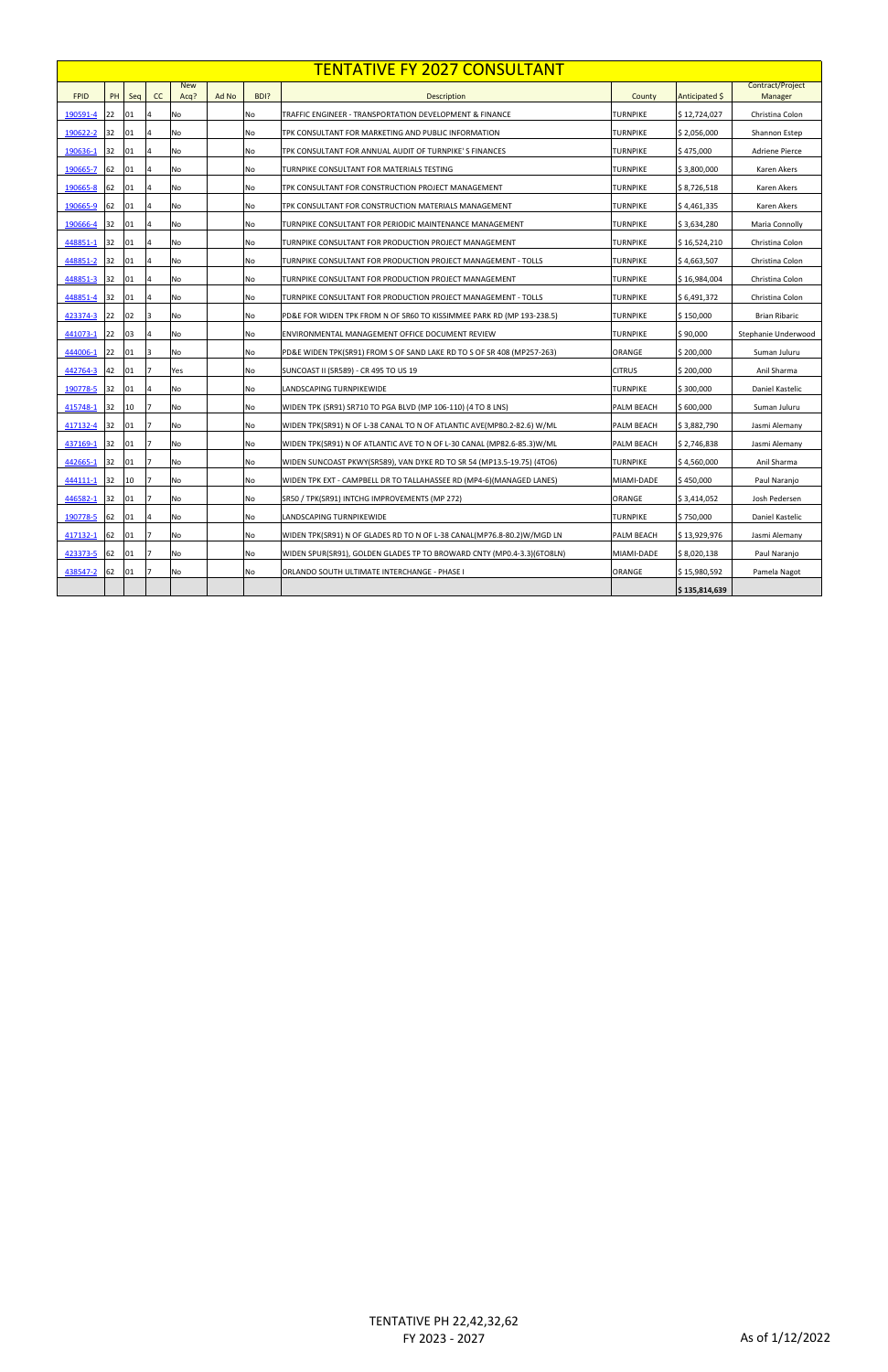|             |    |     |    |                    |       |      | <b>TENTATIVE FY 2027 CONSULTANT</b>                                     |                   |                |                             |
|-------------|----|-----|----|--------------------|-------|------|-------------------------------------------------------------------------|-------------------|----------------|-----------------------------|
| <b>FPID</b> | PH | Seq | cc | <b>New</b><br>Acq? | Ad No | BDI? | <b>Description</b>                                                      | County            | Anticipated \$ | Contract/Project<br>Manager |
| 190591-4    | 22 | 01  |    | <b>No</b>          |       | No   | TRAFFIC ENGINEER - TRANSPORTATION DEVELOPMENT & FINANCE                 | <b>TURNPIKE</b>   | \$12,724,027   | Christina Colon             |
| 190622-2    | 32 | 01  |    | No                 |       | No   | TPK CONSULTANT FOR MARKETING AND PUBLIC INFORMATION                     | TURNPIKE          | \$2,056,000    | Shannon Estep               |
| 190636-1    | 32 | 01  |    | <b>No</b>          |       | No   | TPK CONSULTANT FOR ANNUAL AUDIT OF TURNPIKE'S FINANCES                  | TURNPIKE          | \$475,000      | <b>Adriene Pierce</b>       |
| 190665-7    | 62 | 01  |    | No                 |       | No   | TURNPIKE CONSULTANT FOR MATERIALS TESTING                               | TURNPIKE          | \$3,800,000    | Karen Akers                 |
| 190665-8    | 62 | 01  |    | No                 |       | No   | TPK CONSULTANT FOR CONSTRUCTION PROJECT MANAGEMENT                      | TURNPIKE          | \$8,726,518    | Karen Akers                 |
| 190665-9    | 62 | 01  | 4  | No                 |       | No   | TPK CONSULTANT FOR CONSTRUCTION MATERIALS MANAGEMENT                    | TURNPIKE          | \$4,461,335    | Karen Akers                 |
| 190666-4    | 32 | 01  |    | No                 |       | No   | TURNPIKE CONSULTANT FOR PERIODIC MAINTENANCE MANAGEMENT                 | TURNPIKE          | \$3,634,280    | Maria Connolly              |
| 448851-1    | 32 | 01  | 4  | No                 |       | No   | TURNPIKE CONSULTANT FOR PRODUCTION PROJECT MANAGEMENT                   | TURNPIKE          | \$16,524,210   | Christina Colon             |
| 448851-2    | 32 | 01  |    | No                 |       | No   | TURNPIKE CONSULTANT FOR PRODUCTION PROJECT MANAGEMENT - TOLLS           | <b>TURNPIKE</b>   | \$4,663,507    | Christina Colon             |
| 448851-3    | 32 | 01  |    | No                 |       | No   | TURNPIKE CONSULTANT FOR PRODUCTION PROJECT MANAGEMENT                   | TURNPIKE          | \$16,984,004   | Christina Colon             |
| 448851-4    | 32 | 01  |    | No                 |       | No   | TURNPIKE CONSULTANT FOR PRODUCTION PROJECT MANAGEMENT - TOLLS           | <b>TURNPIKE</b>   | \$ 6,491,372   | Christina Colon             |
| 423374-3    | 22 | 02  | 3  | No                 |       | No   | PD&E FOR WIDEN TPK FROM N OF SR60 TO KISSIMMEE PARK RD (MP 193-238.5)   | TURNPIKE          | \$150,000      | Brian Ribaric               |
| 441073-1    | 22 | 03  |    | No                 |       | No   | ENVIRONMENTAL MANAGEMENT OFFICE DOCUMENT REVIEW                         | <b>TURNPIKE</b>   | \$90,000       | Stephanie Underwood         |
| 444006-1    | 22 | 01  | 3  | No                 |       | No   | PD&E WIDEN TPK(SR91) FROM S OF SAND LAKE RD TO S OF SR 408 (MP257-263)  | ORANGE            | \$200,000      | Suman Juluru                |
| 442764-3    | 42 | 01  |    | Yes                |       | No   | SUNCOAST II (SR589) - CR 495 TO US 19                                   | <b>CITRUS</b>     | \$200,000      | Anil Sharma                 |
| 190778-5    | 32 | 01  |    | No                 |       | No   | LANDSCAPING TURNPIKEWIDE                                                | TURNPIKE          | \$300,000      | Daniel Kastelic             |
| 415748-1    | 32 | 10  |    | <b>No</b>          |       | No   | WIDEN TPK (SR91) SR710 TO PGA BLVD (MP 106-110) (4 TO 8 LNS)            | <b>PALM BEACH</b> | \$600,000      | Suman Juluru                |
| 417132-4    | 32 | 01  |    | No                 |       | No   | WIDEN TPK(SR91) N OF L-38 CANAL TO N OF ATLANTIC AVE(MP80.2-82.6) W/ML  | PALM BEACH        | \$3,882,790    | Jasmi Alemany               |
| 437169-1    | 32 | 01  |    | No                 |       | No   | WIDEN TPK(SR91) N OF ATLANTIC AVE TO N OF L-30 CANAL (MP82.6-85.3) W/ML | PALM BEACH        | \$2,746,838    | Jasmi Alemany               |
| 442665-1    | 32 | 01  |    | <b>No</b>          |       | No   | WIDEN SUNCOAST PKWY(SR589), VAN DYKE RD TO SR 54 (MP13.5-19.75) (4TO6)  | TURNPIKE          | \$4,560,000    | Anil Sharma                 |
| 444111-1    | 32 | 10  |    | No                 |       | No   | WIDEN TPK EXT - CAMPBELL DR TO TALLAHASSEE RD (MP4-6)(MANAGED LANES)    | MIAMI-DADE        | \$450,000      | Paul Naranjo                |
| 446582-1    | 32 | 01  |    | <b>No</b>          |       | No   | SR50 / TPK(SR91) INTCHG IMPROVEMENTS (MP 272)                           | ORANGE            | \$3,414,052    | Josh Pedersen               |
| 190778-5    | 62 | 01  |    | <b>No</b>          |       | No   | LANDSCAPING TURNPIKEWIDE                                                | <b>TURNPIKE</b>   | \$750,000      | Daniel Kastelic             |
| 417132-1    | 62 | 01  |    | No                 |       | No   | WIDEN TPK(SR91) N OF GLADES RD TO N OF L-38 CANAL(MP76.8-80.2)W/MGD LN  | <b>PALM BEACH</b> | \$13,929,976   | Jasmi Alemany               |
| 423373-5    | 62 | 01  |    | <b>No</b>          |       | No   | WIDEN SPUR(SR91), GOLDEN GLADES TP TO BROWARD CNTY (MP0.4-3.3) (6TO8LN) | MIAMI-DADE        | \$8,020,138    | Paul Naranjo                |
| 438547-2    | 62 | 01  |    | No                 |       | No   | ORLANDO SOUTH ULTIMATE INTERCHANGE - PHASE I                            | ORANGE            | \$15,980,592   | Pamela Nagot                |
|             |    |     |    |                    |       |      |                                                                         |                   | \$135,814,639  |                             |

TENTATIVE PH 22,42,32,62 FY 2023 - 2027 As of 1/12/2022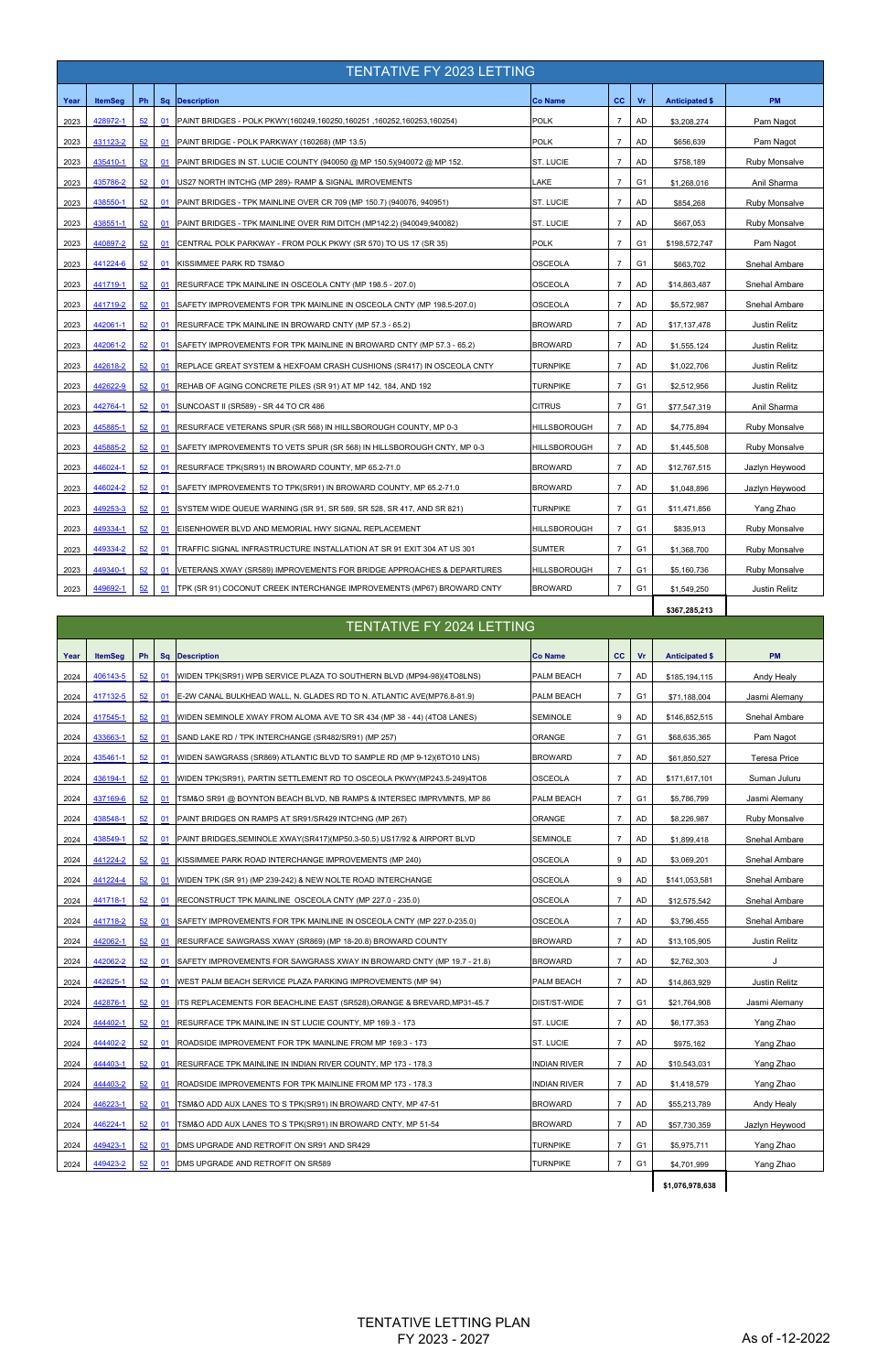|      | <b>TENTATIVE FY 2023 LETTING</b> |    |    |                                                                        |                     |                |                |                       |                      |  |  |  |  |
|------|----------------------------------|----|----|------------------------------------------------------------------------|---------------------|----------------|----------------|-----------------------|----------------------|--|--|--|--|
| Year | <b>ItemSeg</b>                   | Ph | Sq | <b>Description</b>                                                     | <b>Co Name</b>      | cc             | Vr             | <b>Anticipated \$</b> | <b>PM</b>            |  |  |  |  |
| 2023 | 428972-1                         | 52 | 01 | PAINT BRIDGES - POLK PKWY(160249,160250,160251,160252,160253,160254)   | <b>POLK</b>         | $\overline{7}$ | <b>AD</b>      | \$3,208,274           | Pam Nagot            |  |  |  |  |
| 2023 | 431123-2                         | 52 | 01 | PAINT BRIDGE - POLK PARKWAY (160268) (MP 13.5)                         | <b>POLK</b>         | $\overline{7}$ | AD             | \$656,639             | Pam Nagot            |  |  |  |  |
| 2023 | 435410-1                         | 52 | 01 | PAINT BRIDGES IN ST. LUCIE COUNTY (940050 @ MP 150.5)(940072 @ MP 152. | ST. LUCIE           | $\overline{7}$ | <b>AD</b>      | \$758,189             | <b>Ruby Monsalve</b> |  |  |  |  |
| 2023 | 435786-2                         | 52 | 01 | US27 NORTH INTCHG (MP 289)- RAMP & SIGNAL IMROVEMENTS                  | LAKE                | $\overline{7}$ | G <sub>1</sub> | \$1,268,016           | Anil Sharma          |  |  |  |  |
| 2023 | 438550-1                         | 52 | 01 | PAINT BRIDGES - TPK MAINLINE OVER CR 709 (MP 150.7) (940076, 940951)   | ST. LUCIE           | $\overline{7}$ | <b>AD</b>      | \$854,268             | Ruby Monsalve        |  |  |  |  |
| 2023 | 438551-1                         | 52 | 01 | PAINT BRIDGES - TPK MAINLINE OVER RIM DITCH (MP142.2) (940049,940082)  | ST. LUCIE           | $\overline{7}$ | <b>AD</b>      | \$667,053             | Ruby Monsalve        |  |  |  |  |
| 2023 | 440897-2                         | 52 | 01 | CENTRAL POLK PARKWAY - FROM POLK PKWY (SR 570) TO US 17 (SR 35)        | <b>POLK</b>         | $\overline{7}$ | G <sub>1</sub> | \$198,572,747         | Pam Nagot            |  |  |  |  |
| 2023 | 441224-6                         | 52 | 01 | KISSIMMEE PARK RD TSM&O                                                | <b>OSCEOLA</b>      | $\overline{7}$ | G <sub>1</sub> | \$663,702             | Snehal Ambare        |  |  |  |  |
| 2023 | 441719-1                         | 52 | 01 | RESURFACE TPK MAINLINE IN OSCEOLA CNTY (MP 198.5 - 207.0)              | <b>OSCEOLA</b>      | $\overline{7}$ | AD             | \$14,863,487          | Snehal Ambare        |  |  |  |  |
| 2023 | 441719-2                         | 52 | 01 | SAFETY IMPROVEMENTS FOR TPK MAINLINE IN OSCEOLA CNTY (MP 198.5-207.0)  | OSCEOLA             | $\overline{7}$ | <b>AD</b>      | \$5,572,987           | Snehal Ambare        |  |  |  |  |
| 2023 | 442061-1                         | 52 | 01 | RESURFACE TPK MAINLINE IN BROWARD CNTY (MP 57.3 - 65.2)                | <b>BROWARD</b>      | $\overline{7}$ | <b>AD</b>      | \$17,137,478          | <b>Justin Relitz</b> |  |  |  |  |
| 2023 | 442061-2                         | 52 | 01 | SAFETY IMPROVEMENTS FOR TPK MAINLINE IN BROWARD CNTY (MP 57.3 - 65.2)  | <b>BROWARD</b>      | $\overline{7}$ | AD             | \$1,555,124           | <b>Justin Relitz</b> |  |  |  |  |
| 2023 | 442618-2                         | 52 | 01 | REPLACE GREAT SYSTEM & HEXFOAM CRASH CUSHIONS (SR417) IN OSCEOLA CNTY  | <b>TURNPIKE</b>     | $\overline{7}$ | AD             | \$1,022,706           | <b>Justin Relitz</b> |  |  |  |  |
| 2023 | 442622-9                         | 52 | 01 | REHAB OF AGING CONCRETE PILES (SR 91) AT MP 142, 184, AND 192          | TURNPIKE            | $\overline{7}$ | G1             | \$2,512,956           | Justin Relitz        |  |  |  |  |
| 2023 | 442764-1                         | 52 | 01 | SUNCOAST II (SR589) - SR 44 TO CR 486                                  | <b>CITRUS</b>       | $\overline{7}$ | G <sub>1</sub> | \$77,547,319          | Anil Sharma          |  |  |  |  |
| 2023 | 445885-1                         | 52 | 01 | <b>RESURFACE VETERANS SPUR (SR 568) IN HILLSBOROUGH COUNTY, MP 0-3</b> | HILLSBOROUGH        | $\overline{7}$ | AD             | \$4,775,894           | Ruby Monsalve        |  |  |  |  |
| 2023 | 445885-2                         | 52 | 01 | SAFETY IMPROVEMENTS TO VETS SPUR (SR 568) IN HILLSBOROUGH CNTY, MP 0-3 | HILLSBOROUGH        | $\overline{7}$ | AD             | \$1,445,508           | Ruby Monsalve        |  |  |  |  |
| 2023 | 446024-1                         | 52 | 01 | RESURFACE TPK(SR91) IN BROWARD COUNTY, MP 65.2-71.0                    | <b>BROWARD</b>      | $\overline{7}$ | <b>AD</b>      | \$12,767,515          | Jazlyn Heywood       |  |  |  |  |
| 2023 | 446024-2                         | 52 | 01 | SAFETY IMPROVEMENTS TO TPK(SR91) IN BROWARD COUNTY, MP 65.2-71.0       | <b>BROWARD</b>      | $\overline{7}$ | AD             | \$1,048,896           | Jazlyn Heywood       |  |  |  |  |
| 2023 | 449253-3                         | 52 | 01 | SYSTEM WIDE QUEUE WARNING (SR 91, SR 589, SR 528, SR 417, AND SR 821)  | <b>TURNPIKE</b>     | $\overline{7}$ | G <sub>1</sub> | \$11,471,856          | Yang Zhao            |  |  |  |  |
| 2023 | 449334-1                         | 52 | 01 | EISENHOWER BLVD AND MEMORIAL HWY SIGNAL REPLACEMENT                    | <b>HILLSBOROUGH</b> | $\overline{7}$ | G <sub>1</sub> | \$835,913             | <b>Ruby Monsalve</b> |  |  |  |  |
| 2023 | 449334-2                         | 52 | 01 | TRAFFIC SIGNAL INFRASTRUCTURE INSTALLATION AT SR 91 EXIT 304 AT US 301 | <b>SUMTER</b>       | $\overline{7}$ | G <sub>1</sub> | \$1,368,700           | <b>Ruby Monsalve</b> |  |  |  |  |
| 2023 | 449340-1                         | 52 | 01 | VETERANS XWAY (SR589) IMPROVEMENTS FOR BRIDGE APPROACHES & DEPARTURES  | HILLSBOROUGH        | $\overline{7}$ | G <sub>1</sub> | \$5,160,736           | <b>Ruby Monsalve</b> |  |  |  |  |
| 2023 | 449692-1                         | 52 | 01 | TPK (SR 91) COCONUT CREEK INTERCHANGE IMPROVEMENTS (MP67) BROWARD CNTY | <b>BROWARD</b>      | $\overline{7}$ | G <sub>1</sub> | \$1,549,250           | <b>Justin Relitz</b> |  |  |  |  |
|      |                                  |    |    |                                                                        |                     |                |                | \$367,285,213         |                      |  |  |  |  |

| Year | <b>ItemSeg</b> | Ph |           | Sq Description                                                           | <b>Co Name</b>  | cc             | Vr             | <b>Anticipated \$</b> | <b>PM</b>            |
|------|----------------|----|-----------|--------------------------------------------------------------------------|-----------------|----------------|----------------|-----------------------|----------------------|
| 2024 | 406143-5       | 52 | 01        | WIDEN TPK(SR91) WPB SERVICE PLAZA TO SOUTHERN BLVD (MP94-98)(4TO8LNS)    | PALM BEACH      | $\overline{7}$ | AD             | \$185,194,115         | Andy Healy           |
| 2024 | 417132-5       | 52 | 01        | E-2W CANAL BULKHEAD WALL, N. GLADES RD TO N. ATLANTIC AVE(MP76.8-81.9)   | PALM BEACH      | $\overline{7}$ | G <sub>1</sub> | \$71,188,004          | Jasmi Alemany        |
| 2024 | 417545-1       | 52 | 01        | WIDEN SEMINOLE XWAY FROM ALOMA AVE TO SR 434 (MP 38 - 44) (4TO8 LANES)   | <b>SEMINOLE</b> | 9              | <b>AD</b>      | \$146,852,515         | Snehal Ambare        |
| 2024 | 433663-1       | 52 | 01        | SAND LAKE RD / TPK INTERCHANGE (SR482/SR91) (MP 257)                     | ORANGE          | $\overline{7}$ | G <sub>1</sub> | \$68,635,365          | Pam Nagot            |
| 2024 | 435461-1       | 52 | 01        | WIDEN SAWGRASS (SR869) ATLANTIC BLVD TO SAMPLE RD (MP 9-12) (6TO10 LNS)  | <b>BROWARD</b>  | $\overline{7}$ | <b>AD</b>      | \$61,850,527          | <b>Teresa Price</b>  |
| 2024 | 436194-1       | 52 | 01        | WIDEN TPK(SR91), PARTIN SETTLEMENT RD TO OSCEOLA PKWY(MP243.5-249)4TO8   | <b>OSCEOLA</b>  | $\overline{7}$ | <b>AD</b>      | \$171,617,101         | Suman Juluru         |
| 2024 | 437169-6       | 52 | 01        | TSM&O SR91 @ BOYNTON BEACH BLVD, NB RAMPS & INTERSEC IMPRVMNTS, MP 86    | PALM BEACH      | $\overline{7}$ | G <sub>1</sub> | \$5,786,799           | Jasmi Alemany        |
| 2024 | 438548-1       | 52 | 01        | PAINT BRIDGES ON RAMPS AT SR91/SR429 INTCHNG (MP 267)                    | ORANGE          | $\overline{7}$ | <b>AD</b>      | \$8,226,987           | Ruby Monsalve        |
| 2024 | 438549-1       | 52 | 01        | PAINT BRIDGES, SEMINOLE XWAY(SR417)(MP50.3-50.5) US17/92 & AIRPORT BLVD  | <b>SEMINOLE</b> | $\overline{7}$ | <b>AD</b>      | \$1,899,418           | Snehal Ambare        |
| 2024 | 441224-2       | 52 | 01        | KISSIMMEE PARK ROAD INTERCHANGE IMPROVEMENTS (MP 240)                    | <b>OSCEOLA</b>  | 9              | AD             | \$3,069,201           | Snehal Ambare        |
| 2024 | 441224-4       | 52 | 01        | WIDEN TPK (SR 91) (MP 239-242) & NEW NOLTE ROAD INTERCHANGE              | <b>OSCEOLA</b>  | 9              | <b>AD</b>      | \$141,053,581         | Snehal Ambare        |
| 2024 | 441718-1       | 52 | 01        | RECONSTRUCT TPK MAINLINE OSCEOLA CNTY (MP 227.0 - 235.0)                 | <b>OSCEOLA</b>  | $\overline{7}$ | AD             | \$12,575,542          | Snehal Ambare        |
| 2024 | 441718-2       | 52 | 01        | SAFETY IMPROVEMENTS FOR TPK MAINLINE IN OSCEOLA CNTY (MP 227.0-235.0)    | <b>OSCEOLA</b>  | $\overline{7}$ | AD             | \$3,796,455           | Snehal Ambare        |
| 2024 | 442062-1       | 52 | 01        | RESURFACE SAWGRASS XWAY (SR869) (MP 18-20.8) BROWARD COUNTY              | <b>BROWARD</b>  | $\overline{7}$ | AD             | \$13,105,905          | <b>Justin Relitz</b> |
| 2024 | 442062-2       | 52 | 01        | SAFETY IMPROVEMENTS FOR SAWGRASS XWAY IN BROWARD CNTY (MP 19.7 - 21.8)   | <b>BROWARD</b>  | $\overline{7}$ | AD             | \$2,762,303           |                      |
| 2024 | 442625-1       | 52 | 01        | WEST PALM BEACH SERVICE PLAZA PARKING IMPROVEMENTS (MP 94)               | PALM BEACH      | $\overline{7}$ | <b>AD</b>      | \$14,863,929          | <b>Justin Relitz</b> |
| 2024 | 442876-1       | 52 | <u>01</u> | ITS REPLACEMENTS FOR BEACHLINE EAST (SR528), ORANGE & BREVARD, MP31-45.7 | DIST/ST-WIDE    | $\overline{7}$ | G <sub>1</sub> | \$21,764,908          | Jasmi Alemany        |
|      |                |    |           |                                                                          |                 |                |                |                       |                      |

| 2024 | 444402-1        | 52 | 01 | RESURFACE TPK MAINLINE IN ST LUCIE COUNTY, MP 169.3 - 173               | <b>ST. LUCIE</b>    | AD             | \$6,177,353     | Yang Zhao      |
|------|-----------------|----|----|-------------------------------------------------------------------------|---------------------|----------------|-----------------|----------------|
| 2024 | 444402-2        | 52 | 01 | ROADSIDE IMPROVEMENT FOR TPK MAINLINE FROM MP 169.3 - 173               | ST. LUCIE           | AD             | \$975,162       | Yang Zhao      |
| 2024 | 444403-1        | 52 | 01 | RESURFACE TPK MAINLINE IN INDIAN RIVER COUNTY, MP 173 - 178.3           | <b>INDIAN RIVER</b> | AD             | \$10,543,031    | Yang Zhao      |
| 2024 | 444403-2        | 52 | 01 | ROADSIDE IMPROVEMENTS FOR TPK MAINLINE FROM MP 173 - 178.3              | <b>INDIAN RIVER</b> | AD             | \$1,418,579     | Yang Zhao      |
| 2024 | 446223-1        | 52 | 01 | <b>TSM&amp;O ADD AUX LANES TO S TPK(SR91) IN BROWARD CNTY, MP 47-51</b> | <b>BROWARD</b>      | AD             | \$55,213,789    | Andy Healy     |
| 2024 | 446224-1        | 52 | 01 | <b>TSM&amp;O ADD AUX LANES TO S TPK(SR91) IN BROWARD CNTY, MP 51-54</b> | <b>BROWARD</b>      | AD             | \$57,730,359    | Jazlyn Heywood |
| 2024 | 449423-1        | 52 | 01 | DMS UPGRADE AND RETROFIT ON SR91 AND SR429                              | <b>TURNPIKE</b>     | G <sub>1</sub> | \$5,975,711     | Yang Zhao      |
| 2024 | <u>449423-2</u> | 52 | 01 | DMS UPGRADE AND RETROFIT ON SR589                                       | <b>TURNPIKE</b>     | G <sub>1</sub> | \$4,701,999     | Yang Zhao      |
|      |                 |    |    |                                                                         |                     |                | \$1,076,978,638 |                |

## TENTATIVE FY 2024 LETTING

TENTATIVE LETTING PLAN FY 2023 - 2027 As of -12-2022